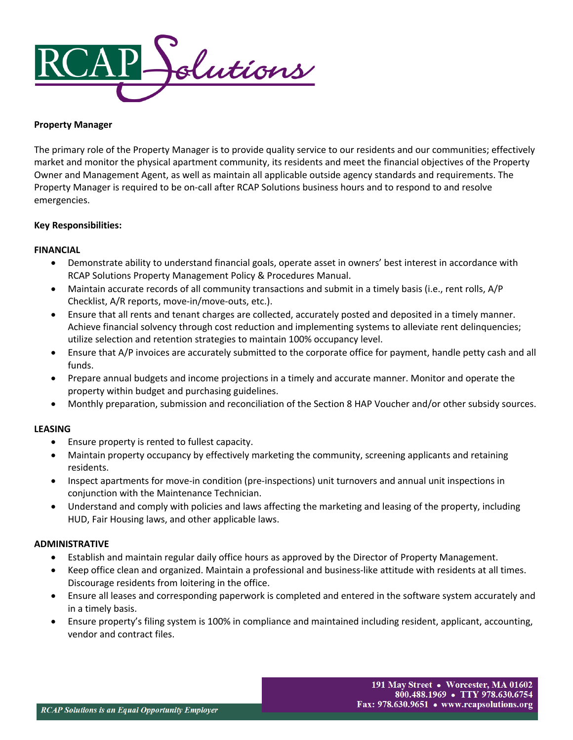

## **Property Manager**

The primary role of the Property Manager is to provide quality service to our residents and our communities; effectively market and monitor the physical apartment community, its residents and meet the financial objectives of the Property Owner and Management Agent, as well as maintain all applicable outside agency standards and requirements. The Property Manager is required to be on-call after RCAP Solutions business hours and to respond to and resolve emergencies.

# **Key Responsibilities:**

## **FINANCIAL**

- Demonstrate ability to understand financial goals, operate asset in owners' best interest in accordance with RCAP Solutions Property Management Policy & Procedures Manual.
- Maintain accurate records of all community transactions and submit in a timely basis (i.e., rent rolls, A/P Checklist, A/R reports, move-in/move-outs, etc.).
- Ensure that all rents and tenant charges are collected, accurately posted and deposited in a timely manner. Achieve financial solvency through cost reduction and implementing systems to alleviate rent delinquencies; utilize selection and retention strategies to maintain 100% occupancy level.
- Ensure that A/P invoices are accurately submitted to the corporate office for payment, handle petty cash and all funds.
- Prepare annual budgets and income projections in a timely and accurate manner. Monitor and operate the property within budget and purchasing guidelines.
- Monthly preparation, submission and reconciliation of the Section 8 HAP Voucher and/or other subsidy sources.

# **LEASING**

- Ensure property is rented to fullest capacity.
- Maintain property occupancy by effectively marketing the community, screening applicants and retaining residents.
- Inspect apartments for move-in condition (pre-inspections) unit turnovers and annual unit inspections in conjunction with the Maintenance Technician.
- Understand and comply with policies and laws affecting the marketing and leasing of the property, including HUD, Fair Housing laws, and other applicable laws.

# **ADMINISTRATIVE**

- Establish and maintain regular daily office hours as approved by the Director of Property Management.
- Keep office clean and organized. Maintain a professional and business-like attitude with residents at all times. Discourage residents from loitering in the office.
- Ensure all leases and corresponding paperwork is completed and entered in the software system accurately and in a timely basis.
- Ensure property's filing system is 100% in compliance and maintained including resident, applicant, accounting, vendor and contract files.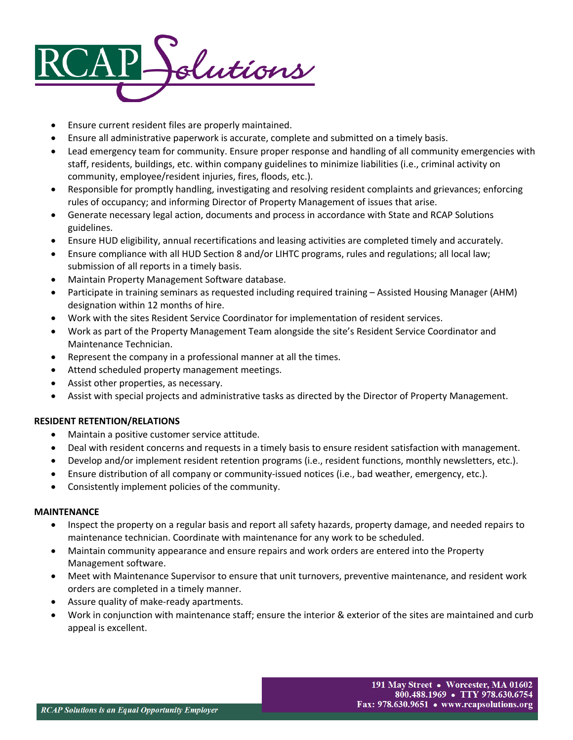

- Ensure current resident files are properly maintained.
- Ensure all administrative paperwork is accurate, complete and submitted on a timely basis.
- Lead emergency team for community. Ensure proper response and handling of all community emergencies with staff, residents, buildings, etc. within company guidelines to minimize liabilities (i.e., criminal activity on community, employee/resident injuries, fires, floods, etc.).
- Responsible for promptly handling, investigating and resolving resident complaints and grievances; enforcing rules of occupancy; and informing Director of Property Management of issues that arise.
- Generate necessary legal action, documents and process in accordance with State and RCAP Solutions guidelines.
- Ensure HUD eligibility, annual recertifications and leasing activities are completed timely and accurately.
- Ensure compliance with all HUD Section 8 and/or LIHTC programs, rules and regulations; all local law; submission of all reports in a timely basis.
- Maintain Property Management Software database.
- Participate in training seminars as requested including required training Assisted Housing Manager (AHM) designation within 12 months of hire.
- Work with the sites Resident Service Coordinator for implementation of resident services.
- Work as part of the Property Management Team alongside the site's Resident Service Coordinator and Maintenance Technician.
- Represent the company in a professional manner at all the times.
- Attend scheduled property management meetings.
- Assist other properties, as necessary.
- Assist with special projects and administrative tasks as directed by the Director of Property Management.

## **RESIDENT RETENTION/RELATIONS**

- Maintain a positive customer service attitude.
- Deal with resident concerns and requests in a timely basis to ensure resident satisfaction with management.
- Develop and/or implement resident retention programs (i.e., resident functions, monthly newsletters, etc.).
- Ensure distribution of all company or community-issued notices (i.e., bad weather, emergency, etc.).
- Consistently implement policies of the community.

## **MAINTENANCE**

- Inspect the property on a regular basis and report all safety hazards, property damage, and needed repairs to maintenance technician. Coordinate with maintenance for any work to be scheduled.
- Maintain community appearance and ensure repairs and work orders are entered into the Property Management software.
- Meet with Maintenance Supervisor to ensure that unit turnovers, preventive maintenance, and resident work orders are completed in a timely manner.
- Assure quality of make-ready apartments.
- Work in conjunction with maintenance staff; ensure the interior & exterior of the sites are maintained and curb appeal is excellent.